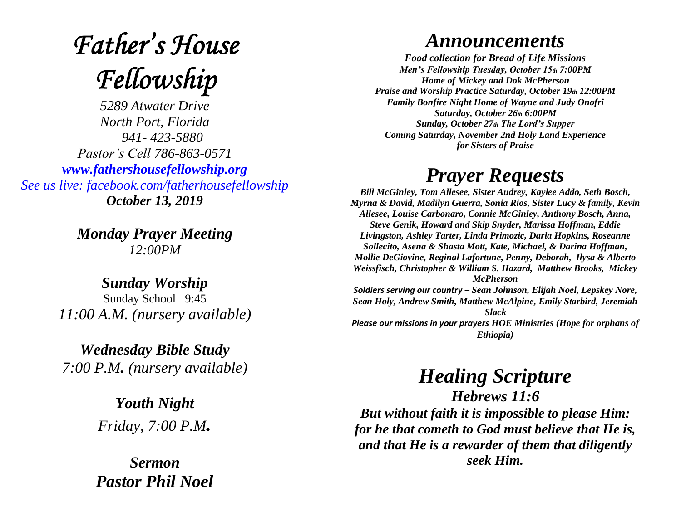# **Father's House** Fellowship

*5289 Atwater Drive North Port, Florida 941- 423-5880 Pastor's Cell 786-863-0571 [www.fathershousefellowship.org](http://www.fathershousefellowship.org/) See us live: facebook.com/fatherhousefellowship October 13, 2019*

> *Monday Prayer Meeting 12:00PM*

*Sunday Worship* Sunday School 9:45 *11:00 A.M. (nursery available)*

*Wednesday Bible Study 7:00 P.M. (nursery available)*

> *Youth Night Friday, 7:00 P.M.*

*Sermon Pastor Phil Noel*

### *Announcements*

*Food collection for Bread of Life Missions Men's Fellowship Tuesday, October 15th 7:00PM Home of Mickey and Dok McPherson Praise and Worship Practice Saturday, October 19th 12:00PM Family Bonfire Night Home of Wayne and Judy Onofri Saturday, October 26th 6:00PM Sunday, October 27th The Lord's Supper Coming Saturday, November 2nd Holy Land Experience for Sisters of Praise*

## *Prayer Requests*

*Bill McGinley, Tom Allesee, Sister Audrey, Kaylee Addo, Seth Bosch, Myrna & David, Madilyn Guerra, Sonia Rios, Sister Lucy & family, Kevin Allesee, Louise Carbonaro, Connie McGinley, Anthony Bosch, Anna, Steve Genik, Howard and Skip Snyder, Marissa Hoffman, Eddie Livingston, Ashley Tarter, Linda Primozic, Darla Hopkins, Roseanne Sollecito, Asena & Shasta Mott, Kate, Michael, & Darina Hoffman, Mollie DeGiovine, Reginal Lafortune, Penny, Deborah, Ilysa & Alberto Weissfisch, Christopher & William S. Hazard, Matthew Brooks, Mickey McPherson Soldiers serving our country – Sean Johnson, Elijah Noel, Lepskey Nore, Sean Holy, Andrew Smith, Matthew McAlpine, Emily Starbird, Jeremiah Slack Please our missions in your prayers HOE Ministries (Hope for orphans of* 

*Ethiopia)*

# *Healing Scripture*

*Hebrews 11:6 But without faith it is impossible to please Him: for he that cometh to God must believe that He is, and that He is a rewarder of them that diligently seek Him.*